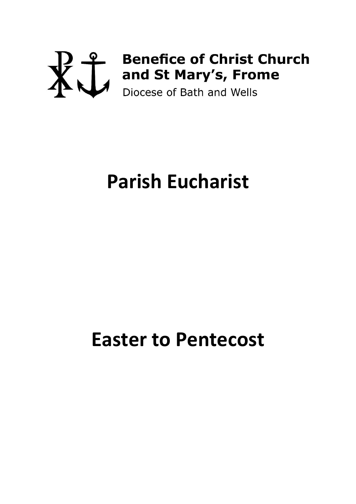# **Benefice of Christ Church**

## **Parish Eucharist**

## **Easter to Pentecost**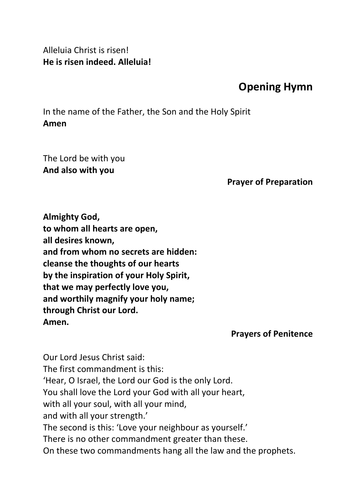Alleluia Christ is risen! **He is risen indeed. Alleluia!**

### **Opening Hymn**

In the name of the Father, the Son and the Holy Spirit **Amen**

The Lord be with you **And also with you**

**Prayer of Preparation**

**Almighty God, to whom all hearts are open, all desires known, and from whom no secrets are hidden: cleanse the thoughts of our hearts by the inspiration of your Holy Spirit, that we may perfectly love you, and worthily magnify your holy name; through Christ our Lord. Amen.**

**Prayers of Penitence**

Our Lord Jesus Christ said: The first commandment is this: 'Hear, O Israel, the Lord our God is the only Lord. You shall love the Lord your God with all your heart, with all your soul, with all your mind, and with all your strength.' The second is this: 'Love your neighbour as yourself.' There is no other commandment greater than these. On these two commandments hang all the law and the prophets.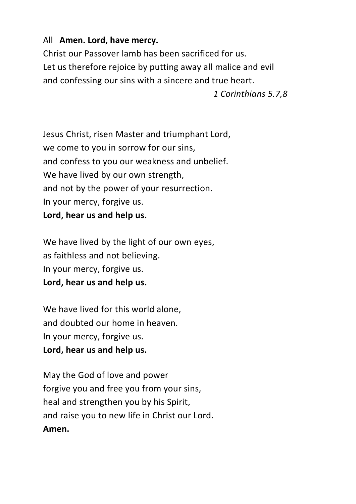#### All **Amen. Lord, have mercy.**

Christ our Passover lamb has been sacrificed for us. Let us therefore rejoice by putting away all malice and evil and confessing our sins with a sincere and true heart.

#### *1 Corinthians 5.7,8*

Jesus Christ, risen Master and triumphant Lord, we come to you in sorrow for our sins, and confess to you our weakness and unbelief. We have lived by our own strength, and not by the power of your resurrection. In your mercy, forgive us. **Lord, hear us and help us.**

We have lived by the light of our own eyes, as faithless and not believing. In your mercy, forgive us. **Lord, hear us and help us.**

We have lived for this world alone, and doubted our home in heaven. In your mercy, forgive us. **Lord, hear us and help us.**

May the God of love and power forgive you and free you from your sins, heal and strengthen you by his Spirit, and raise you to new life in Christ our Lord. **Amen.**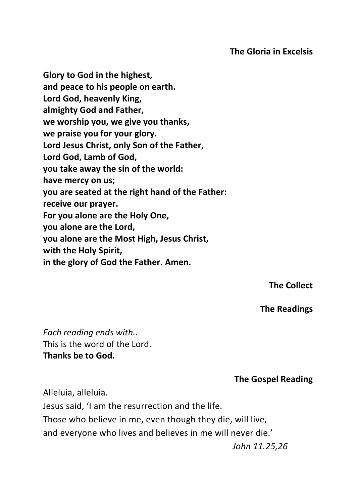#### **The Gloria in Excelsis**

**Glory to God in the highest, and peace to his people on earth. Lord God, heavenly King, almighty God and Father, we worship you, we give you thanks, we praise you for your glory. Lord Jesus Christ, only Son of the Father, Lord God, Lamb of God, you take away the sin of the world: have mercy on us; you are seated at the right hand of the Father: receive our prayer. For you alone are the Holy One, you alone are the Lord, you alone are the Most High, Jesus Christ, with the Holy Spirit, in the glory of God the Father. Amen.**

**The Collect**

**The Readings**

*Each reading ends with..* This is the word of the Lord. **Thanks be to God.**

#### **The Gospel Reading**

Alleluia, alleluia.

Jesus said, 'I am the resurrection and the life. Those who believe in me, even though they die, will live, and everyone who lives and believes in me will never die.'

*John 11.25,26*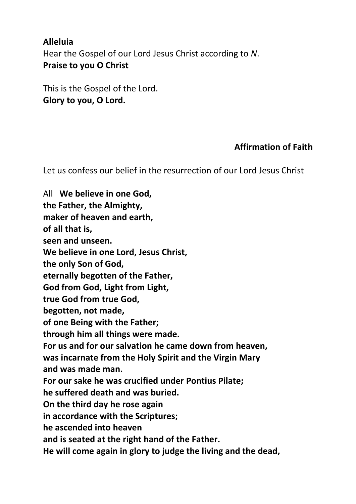#### **Alleluia**

Hear the Gospel of our Lord Jesus Christ according to *N*. **Praise to you O Christ** 

This is the Gospel of the Lord. **Glory to you, O Lord.**

#### **Affirmation of Faith**

Let us confess our belief in the resurrection of our Lord Jesus Christ

All **We believe in one God, the Father, the Almighty, maker of heaven and earth, of all that is, seen and unseen. We believe in one Lord, Jesus Christ, the only Son of God, eternally begotten of the Father, God from God, Light from Light, true God from true God, begotten, not made, of one Being with the Father; through him all things were made. For us and for our salvation he came down from heaven, was incarnate from the Holy Spirit and the Virgin Mary and was made man. For our sake he was crucified under Pontius Pilate; he suffered death and was buried. On the third day he rose again in accordance with the Scriptures; he ascended into heaven and is seated at the right hand of the Father. He will come again in glory to judge the living and the dead,**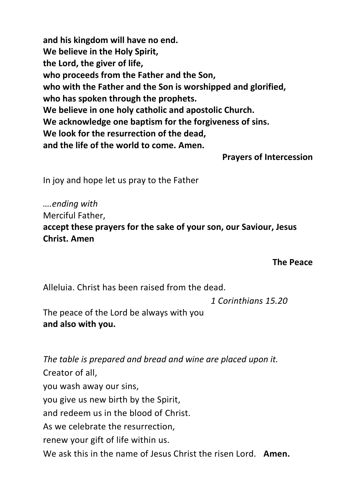**and his kingdom will have no end. We believe in the Holy Spirit, the Lord, the giver of life, who proceeds from the Father and the Son, who with the Father and the Son is worshipped and glorified, who has spoken through the prophets. We believe in one holy catholic and apostolic Church. We acknowledge one baptism for the forgiveness of sins. We look for the resurrection of the dead, and the life of the world to come. Amen.**

**Prayers of Intercession**

In joy and hope let us pray to the Father

*….ending with*  Merciful Father, **accept these prayers for the sake of your son, our Saviour, Jesus Christ. Amen**

**The Peace**

Alleluia. Christ has been raised from the dead.

*1 Corinthians 15.20*

The peace of the Lord be always with you **and also with you.**

*The table is prepared and bread and wine are placed upon it.* Creator of all, you wash away our sins, you give us new birth by the Spirit, and redeem us in the blood of Christ. As we celebrate the resurrection, renew your gift of life within us. We ask this in the name of Jesus Christ the risen Lord. **Amen.**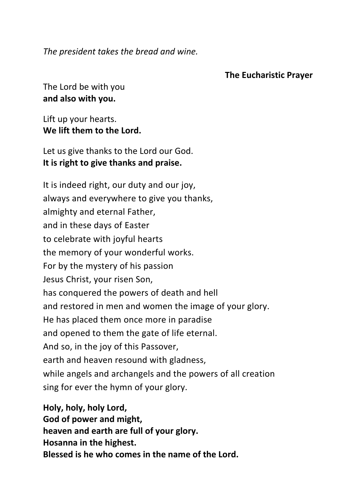*The president takes the bread and wine.*

#### **The Eucharistic Prayer**

The Lord be with you **and also with you.**

Lift up your hearts. **We lift them to the Lord.**

Let us give thanks to the Lord our God. **It is right to give thanks and praise.**

It is indeed right, our duty and our joy, always and everywhere to give you thanks, almighty and eternal Father, and in these days of Easter to celebrate with joyful hearts the memory of your wonderful works. For by the mystery of his passion Jesus Christ, your risen Son, has conquered the powers of death and hell and restored in men and women the image of your glory. He has placed them once more in paradise and opened to them the gate of life eternal. And so, in the joy of this Passover, earth and heaven resound with gladness, while angels and archangels and the powers of all creation sing for ever the hymn of your glory.

**Holy, holy, holy Lord, God of power and might, heaven and earth are full of your glory. Hosanna in the highest. Blessed is he who comes in the name of the Lord.**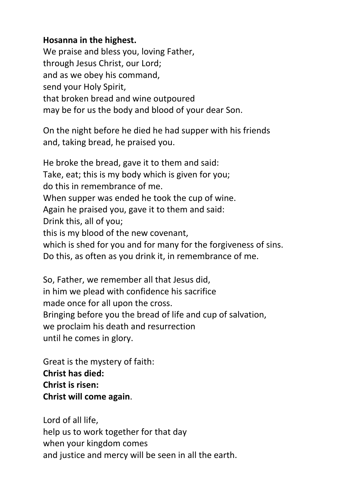#### **Hosanna in the highest.**

We praise and bless you, loving Father, through Jesus Christ, our Lord; and as we obey his command, send your Holy Spirit, that broken bread and wine outpoured may be for us the body and blood of your dear Son.

On the night before he died he had supper with his friends and, taking bread, he praised you.

He broke the bread, gave it to them and said: Take, eat; this is my body which is given for you; do this in remembrance of me. When supper was ended he took the cup of wine. Again he praised you, gave it to them and said: Drink this, all of you; this is my blood of the new covenant, which is shed for you and for many for the forgiveness of sins. Do this, as often as you drink it, in remembrance of me.

So, Father, we remember all that Jesus did, in him we plead with confidence his sacrifice made once for all upon the cross. Bringing before you the bread of life and cup of salvation, we proclaim his death and resurrection until he comes in glory.

Great is the mystery of faith: **Christ has died: Christ is risen: Christ will come again**.

Lord of all life, help us to work together for that day when your kingdom comes and justice and mercy will be seen in all the earth.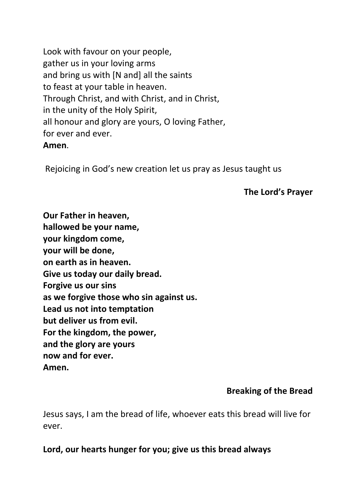Look with favour on your people, gather us in your loving arms and bring us with [N and] all the saints to feast at your table in heaven. Through Christ, and with Christ, and in Christ, in the unity of the Holy Spirit, all honour and glory are yours, O loving Father, for ever and ever. **Amen**.

Rejoicing in God's new creation let us pray as Jesus taught us

#### **The Lord's Prayer**

**Our Father in heaven, hallowed be your name, your kingdom come, your will be done, on earth as in heaven. Give us today our daily bread. Forgive us our sins as we forgive those who sin against us. Lead us not into temptation but deliver us from evil. For the kingdom, the power, and the glory are yours now and for ever. Amen.**

#### **Breaking of the Bread**

Jesus says, I am the bread of life, whoever eats this bread will live for ever.

**Lord, our hearts hunger for you; give us this bread always**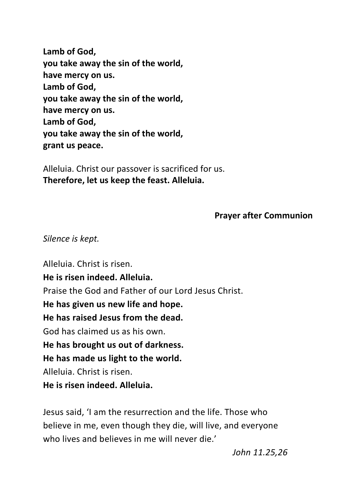**Lamb of God, you take away the sin of the world, have mercy on us. Lamb of God, you take away the sin of the world, have mercy on us. Lamb of God, you take away the sin of the world, grant us peace.**

Alleluia. Christ our passover is sacrificed for us. **Therefore, let us keep the feast. Alleluia.**

#### **Prayer after Communion**

#### *Silence is kept.*

Alleluia. Christ is risen. **He is risen indeed. Alleluia.** Praise the God and Father of our Lord Jesus Christ. **He has given us new life and hope. He has raised Jesus from the dead.** God has claimed us as his own. **He has brought us out of darkness. He has made us light to the world.** Alleluia. Christ is risen. **He is risen indeed. Alleluia.**

Jesus said, 'I am the resurrection and the life. Those who believe in me, even though they die, will live, and everyone who lives and believes in me will never die.'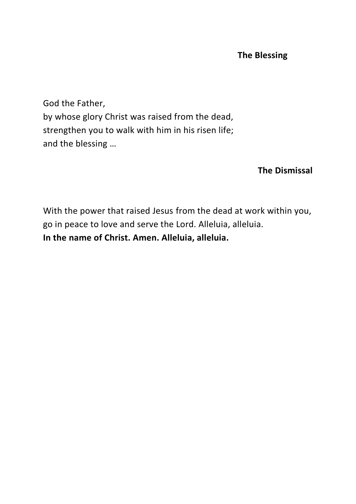#### **The Blessing**

God the Father, by whose glory Christ was raised from the dead, strengthen you to walk with him in his risen life; and the blessing …

#### **The Dismissal**

With the power that raised Jesus from the dead at work within you, go in peace to love and serve the Lord. Alleluia, alleluia. **In the name of Christ. Amen. Alleluia, alleluia.**